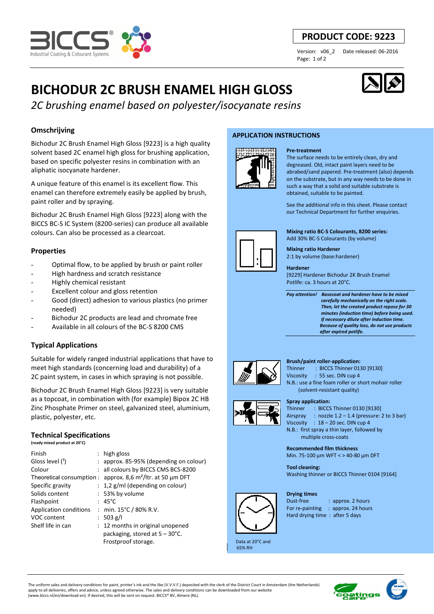

## **PRODUCT CODE: 9223**

Page: 1 of 2

Version: v06\_2 Date released: 06-2016

# **BICHODUR 2C BRUSH ENAMEL HIGH GLOSS**

*2C brushing enamel based on polyester/isocyanate resins*

## **Omschrijving**

Bichodur 2C Brush Enamel High Gloss [9223] is a high quality solvent based 2C enamel high gloss for brushing application, based on specific polyester resins in combination with an aliphatic isocyanate hardener.

A unique feature of this enamel is its excellent flow. This enamel can therefore extremely easily be applied by brush, paint roller and by spraying.

Bichodur 2C Brush Enamel High Gloss [9223] along with the BICCS BC-S IC System (8200-series) can produce all available colours. Can also be processed as a clearcoat.

## **Properties**

- Optimal flow, to be applied by brush or paint roller
- High hardness and scratch resistance
- Highly chemical resistant
- Excellent colour and gloss retention
- Good (direct) adhesion to various plastics (no primer needed)
- Bichodur 2C products are lead and chromate free
- Available in all colours of the BC-S 8200 CMS

## **Typical Applications**

Suitable for widely ranged industrial applications that have to meet high standards (concerning load and durability) of a 2C paint system, in cases in which spraying is not possible.

Bichodur 2C Brush Enamel High Gloss [9223] is very suitable as a topcoat, in combination with (for example) Bipox 2C HB Zinc Phosphate Primer on steel, galvanized steel, aluminium, plastic, polyester, etc.

## **Technical Specifications**

**(ready mixed product at 20°C)**

| Finish                 | : high gloss                                                   |
|------------------------|----------------------------------------------------------------|
| Gloss level (1)        | approx. 85-95% (depending on colour)                           |
| Colour                 | : all colours by BICCS CMS BCS-8200                            |
|                        | Theoretical consumption : approx. 8,6 $m^2$ /ltr. at 50 µm DFT |
| Specific gravity       | $: 1,2$ g/ml (depending on colour)                             |
| Solids content         | : 53% by volume                                                |
| Flashpoint             | $: 45^{\circ}$ C                                               |
| Application conditions | : min. $15^{\circ}$ C / 80% R.V.                               |
| VOC content            | : 503 g/l                                                      |
| Shelf life in can      | 12 months in original unopened                                 |
|                        | packaging, stored at $5 - 30^{\circ}$ C.                       |
|                        | Frostproof storage.                                            |

## **APPLICATION INSTRUCTIONS**



## **Pre-treatment**

The surface needs to be entirely clean, dry and degreased. Old, intact paint layers need to be abrabed/sand papered. Pre-treatment (also) depends on the substrate, but in any way needs to be done in such a way that a solid and suitable substrate is obtained, suitable to be painted.

See the additional info in this sheet. Please contact our Technical Department for further enquiries.

**Mixing ratio BC-S Colourants, 8200 series:**  Add 30% BC-S Colourants (by volume)

**Mixing ratio Hardener**  2:1 by volume (base:hardener)

#### **Hardener**

[9229] Hardener Bichodur 2K Brush Enamel Potlife: ca. 3 hours at 20°C.

*Pay attention! Basecoat and hardener have to be mixed carefully mechanically on the right scale. Then, let the created product repose for 30 minutes (induction time) before being used. If necessary dilute after induction time. Because of quality loss, do not use products after expired potlife.*



#### **Brush/paint roller-application:**

Thinner : BICCS Thinner 0130 191301 Viscosity : 55 sec. DIN cup 4 N.B.: use a fine foam roller or short mohair roller (solvent-resistant quality)

#### **Spray application:**

Thinner : BICCS Thinner 0130 [9130] Airspray : nozzle 1.2 – 1.4 (pressure: 2 to 3 bar) Viscosity : 18 – 20 sec. DIN cup 4 N.B.: first spray a thin layer, followed by multiple cross-coats

**Recommended film thickness** 

Min. 75-100 µm WFT < > 40-80 µm DFT

**Tool cleaning:**  Washing thinner or BICCS Thinner 0104 [9164]

#### **Drying times**



Dust-free : approx. 2 hours For re-painting : approx. 24 hours Hard drying time : after 5 days

 Data at 20°C and 65% RH

The uniform sales and delivery conditions for paint, printer's ink and the like (V.V.V.F.) deposited with the clerk of the District Court in Amsterdam (the Netherlands) apply to all deliveries, offers and advice, unless agreed otherwise. The sales and delivery conditions can be downloaded from our website (www.biccs.nl/en/download-en). If desired, this will be sent on request. BICCS® BV, Almere (NL).